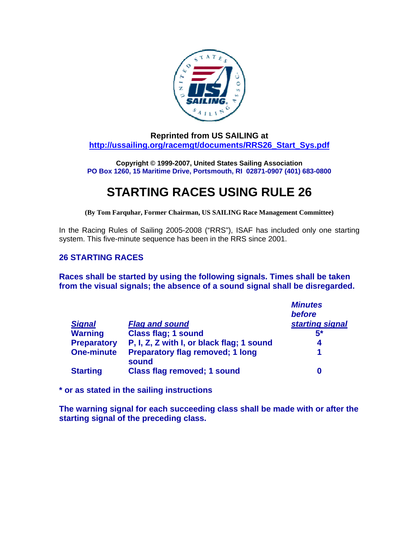

**Reprinted from US SAILING at [http://ussailing.org/racemgt/documents/RRS26\\_Start\\_Sys.pdf](http://ussailing.org/racemgt/documents/RRS26_Start_Sys.pdf)**

**Copyright © 1999-2007, United States Sailing Association PO Box 1260, 15 Maritime Drive, Portsmouth, RI 02871-0907 (401) 683-0800**

## **STARTING RACES USING RULE 26**

**(By Tom Farquhar, Former Chairman, US SAILING Race Management Committee)** 

In the Racing Rules of Sailing 2005-2008 ("RRS"), ISAF has included only one starting system. This five-minute sequence has been in the RRS since 2001.

## **26 STARTING RACES**

**Races shall be started by using the following signals. Times shall be taken from the visual signals; the absence of a sound signal shall be disregarded.** 

|                    |                                                  | <b>Minutes</b>  |
|--------------------|--------------------------------------------------|-----------------|
|                    |                                                  | before          |
| <b>Signal</b>      | <b>Flag and sound</b>                            | starting signal |
| <b>Warning</b>     | <b>Class flag; 1 sound</b>                       | $5*$            |
| <b>Preparatory</b> | P, I, Z, Z with I, or black flag; 1 sound        | 4               |
| <b>One-minute</b>  | <b>Preparatory flag removed; 1 long</b><br>sound | 1               |
| <b>Starting</b>    | <b>Class flag removed; 1 sound</b>               |                 |

**\* or as stated in the sailing instructions** 

**The warning signal for each succeeding class shall be made with or after the starting signal of the preceding class.**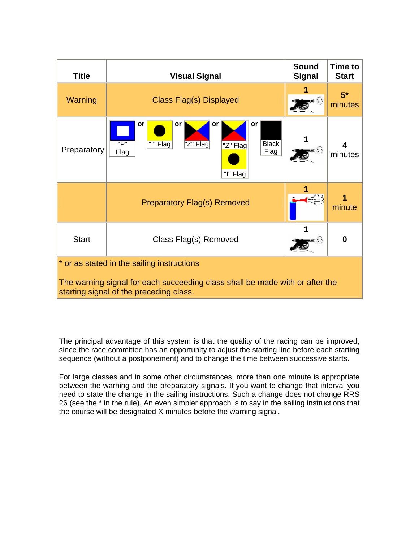| <b>Title</b>                                                                                                            | <b>Visual Signal</b>                                                                                        | <b>Sound</b><br><b>Signal</b> | <b>Time to</b><br><b>Start</b> |  |
|-------------------------------------------------------------------------------------------------------------------------|-------------------------------------------------------------------------------------------------------------|-------------------------------|--------------------------------|--|
| Warning                                                                                                                 | Class Flag(s) Displayed                                                                                     |                               | $5*$<br>minutes                |  |
| Preparatory                                                                                                             | or<br>or<br>or<br>or<br>"P"<br><b>Black</b><br>"I" Flag<br>"Z" Flag<br>"Z" Flag<br>Flag<br>Flag<br>"I" Flag |                               | 4<br>minutes                   |  |
|                                                                                                                         | <b>Preparatory Flag(s) Removed</b>                                                                          |                               | minute                         |  |
| <b>Start</b>                                                                                                            | Class Flag(s) Removed                                                                                       |                               | 0                              |  |
| * or as stated in the sailing instructions                                                                              |                                                                                                             |                               |                                |  |
| The warning signal for each succeeding class shall be made with or after the<br>starting signal of the preceding class. |                                                                                                             |                               |                                |  |

The principal advantage of this system is that the quality of the racing can be improved, since the race committee has an opportunity to adjust the starting line before each starting sequence (without a postponement) and to change the time between successive starts.

For large classes and in some other circumstances, more than one minute is appropriate between the warning and the preparatory signals. If you want to change that interval you need to state the change in the sailing instructions. Such a change does not change RRS 26 (see the \* in the rule). An even simpler approach is to say in the sailing instructions that the course will be designated X minutes before the warning signal.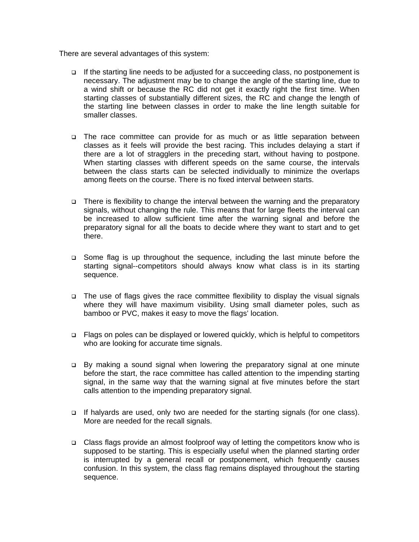There are several advantages of this system:

- $\Box$  If the starting line needs to be adjusted for a succeeding class, no postponement is necessary. The adjustment may be to change the angle of the starting line, due to a wind shift or because the RC did not get it exactly right the first time. When starting classes of substantially different sizes, the RC and change the length of the starting line between classes in order to make the line length suitable for smaller classes.
- The race committee can provide for as much or as little separation between classes as it feels will provide the best racing. This includes delaying a start if there are a lot of stragglers in the preceding start, without having to postpone. When starting classes with different speeds on the same course, the intervals between the class starts can be selected individually to minimize the overlaps among fleets on the course. There is no fixed interval between starts.
- There is flexibility to change the interval between the warning and the preparatory signals, without changing the rule. This means that for large fleets the interval can be increased to allow sufficient time after the warning signal and before the preparatory signal for all the boats to decide where they want to start and to get there.
- Some flag is up throughout the sequence, including the last minute before the starting signal--competitors should always know what class is in its starting sequence.
- The use of flags gives the race committee flexibility to display the visual signals where they will have maximum visibility. Using small diameter poles, such as bamboo or PVC, makes it easy to move the flags' location.
- □ Flags on poles can be displayed or lowered quickly, which is helpful to competitors who are looking for accurate time signals.
- □ By making a sound signal when lowering the preparatory signal at one minute before the start, the race committee has called attention to the impending starting signal, in the same way that the warning signal at five minutes before the start calls attention to the impending preparatory signal.
- If halyards are used, only two are needed for the starting signals (for one class). More are needed for the recall signals.
- Class flags provide an almost foolproof way of letting the competitors know who is supposed to be starting. This is especially useful when the planned starting order is interrupted by a general recall or postponement, which frequently causes confusion. In this system, the class flag remains displayed throughout the starting sequence.